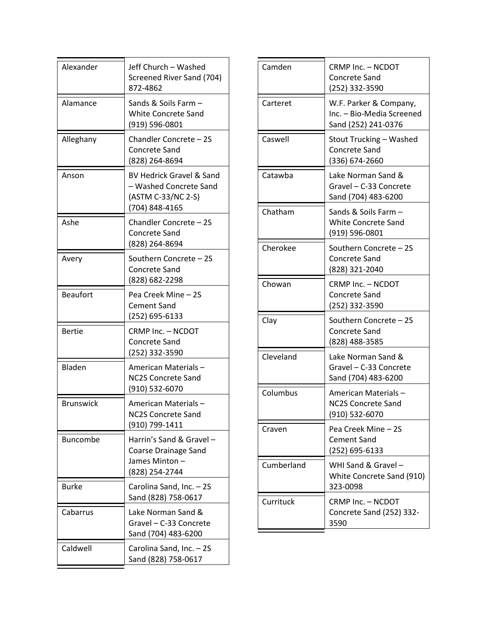| Alexander        | Jeff Church - Washed<br>Screened River Sand (704)<br>872-4862                                         |
|------------------|-------------------------------------------------------------------------------------------------------|
| Alamance         | Sands & Soils Farm -<br><b>White Concrete Sand</b><br>(919) 596-0801                                  |
| Alleghany        | Chandler Concrete - 2S<br>Concrete Sand<br>(828) 264-8694                                             |
| Anson            | <b>BV Hedrick Gravel &amp; Sand</b><br>- Washed Concrete Sand<br>(ASTM C-33/NC 2-S)<br>(704) 848-4165 |
| Ashe             | Chandler Concrete - 2S<br><b>Concrete Sand</b><br>(828) 264-8694                                      |
| Avery            | Southern Concrete - 2S<br><b>Concrete Sand</b><br>(828) 682-2298                                      |
| <b>Beaufort</b>  | Pea Creek Mine - 2S<br><b>Cement Sand</b><br>(252) 695-6133                                           |
| <b>Bertie</b>    | CRMP Inc. - NCDOT<br>Concrete Sand<br>(252) 332-3590                                                  |
| Bladen           | American Materials –<br><b>NC2S Concrete Sand</b><br>(910) 532-6070                                   |
| <b>Brunswick</b> | American Materials-<br><b>NC2S Concrete Sand</b><br>(910) 799-1411                                    |
| <b>Buncombe</b>  | Harrin's Sand & Gravel -<br><b>Coarse Drainage Sand</b><br>James Minton -<br>(828) 254-2744           |
| <b>Burke</b>     | Carolina Sand, Inc. - 2S<br>Sand (828) 758-0617                                                       |
| Cabarrus         | Lake Norman Sand &<br>Gravel - C-33 Concrete<br>Sand (704) 483-6200                                   |
| Caldwell         | Carolina Sand, Inc. - 2S<br>Sand (828) 758-0617                                                       |

| Camden     | CRMP Inc. - NCDOT<br><b>Concrete Sand</b><br>(252) 332-3590                |
|------------|----------------------------------------------------------------------------|
| Carteret   | W.F. Parker & Company,<br>Inc. - Bio-Media Screened<br>Sand (252) 241-0376 |
| Caswell    | Stout Trucking - Washed<br><b>Concrete Sand</b><br>(336) 674-2660          |
| Catawba    | Lake Norman Sand &<br>Gravel - C-33 Concrete<br>Sand (704) 483-6200        |
| Chatham    | Sands & Soils Farm -<br><b>White Concrete Sand</b><br>(919) 596-0801       |
| Cherokee   | Southern Concrete - 2S<br><b>Concrete Sand</b><br>(828) 321-2040           |
| Chowan     | CRMP Inc. - NCDOT<br><b>Concrete Sand</b><br>(252) 332-3590                |
| Clay       | Southern Concrete - 2S<br><b>Concrete Sand</b><br>(828) 488-3585           |
| Cleveland  | Lake Norman Sand &<br>Gravel - C-33 Concrete<br>Sand (704) 483-6200        |
| Columbus   | American Materials-<br><b>NC2S Concrete Sand</b><br>(910) 532-6070         |
| Craven     | Pea Creek Mine - 2S<br><b>Cement Sand</b><br>(252) 695-6133                |
| Cumberland | WHI Sand & Gravel-<br>White Concrete Sand (910)<br>323-0098                |
| Currituck  | CRMP Inc. - NCDOT<br>Concrete Sand (252) 332-<br>3590                      |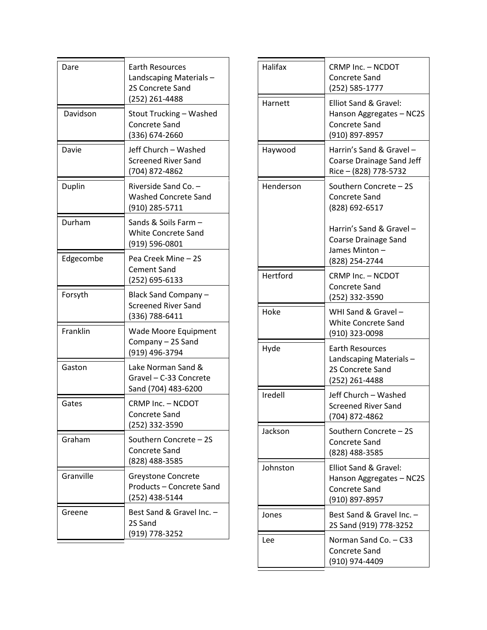| Dare      | <b>Earth Resources</b><br>Landscaping Materials-<br>2S Concrete Sand<br>(252) 261-4488 |
|-----------|----------------------------------------------------------------------------------------|
| Davidson  | Stout Trucking - Washed<br><b>Concrete Sand</b><br>(336) 674-2660                      |
| Davie     | Jeff Church - Washed<br><b>Screened River Sand</b><br>(704) 872-4862                   |
| Duplin    | Riverside Sand Co. -<br><b>Washed Concrete Sand</b><br>(910) 285-5711                  |
| Durham    | Sands & Soils Farm -<br><b>White Concrete Sand</b><br>(919) 596-0801                   |
| Edgecombe | Pea Creek Mine - 2S<br><b>Cement Sand</b><br>(252) 695-6133                            |
| Forsyth   | <b>Black Sand Company</b><br><b>Screened River Sand</b><br>(336) 788-6411              |
| Franklin  | Wade Moore Equipment<br>Company - 2S Sand<br>(919) 496-3794                            |
| Gaston    | Lake Norman Sand &<br>Gravel - C-33 Concrete<br>Sand (704) 483-6200                    |
| Gates     | CRMP Inc. - NCDOT<br>Concrete Sand<br>(252) 332-3590                                   |
| Graham    | Southern Concrete - 2S<br>Concrete Sand<br>(828) 488-3585                              |
| Granville | <b>Greystone Concrete</b><br>Products - Concrete Sand<br>(252) 438-5144                |
| Greene    | Best Sand & Gravel Inc. -<br>2S Sand<br>(919) 778-3252                                 |

| Halifax   | CRMP Inc. - NCDOT<br>Concrete Sand<br>(252) 585-1777                                        |
|-----------|---------------------------------------------------------------------------------------------|
| Harnett   | Elliot Sand & Gravel:<br>Hanson Aggregates - NC2S<br><b>Concrete Sand</b><br>(910) 897-8957 |
| Haywood   | Harrin's Sand & Gravel-<br>Coarse Drainage Sand Jeff<br>Rice - (828) 778-5732               |
| Henderson | Southern Concrete - 2S<br><b>Concrete Sand</b><br>(828) 692-6517                            |
|           | Harrin's Sand & Gravel -<br><b>Coarse Drainage Sand</b><br>James Minton-<br>(828) 254-2744  |
| Hertford  | CRMP Inc. - NCDOT<br>Concrete Sand<br>(252) 332-3590                                        |
| Hoke      | WHI Sand & Gravel -<br><b>White Concrete Sand</b><br>(910) 323-0098                         |
| Hyde      | <b>Earth Resources</b><br>Landscaping Materials-<br>2S Concrete Sand<br>(252) 261-4488      |
| Iredell   | Jeff Church - Washed<br><b>Screened River Sand</b><br>(704) 872-4862                        |
| Jackson   | Southern Concrete - 2S<br><b>Concrete Sand</b><br>(828) 488-3585                            |
| Johnston  | Elliot Sand & Gravel:<br>Hanson Aggregates - NC2S<br><b>Concrete Sand</b><br>(910) 897-8957 |
| Jones     | Best Sand & Gravel Inc. -<br>2S Sand (919) 778-3252                                         |
| Lee       | Norman Sand Co. - C33<br><b>Concrete Sand</b><br>(910) 974-4409                             |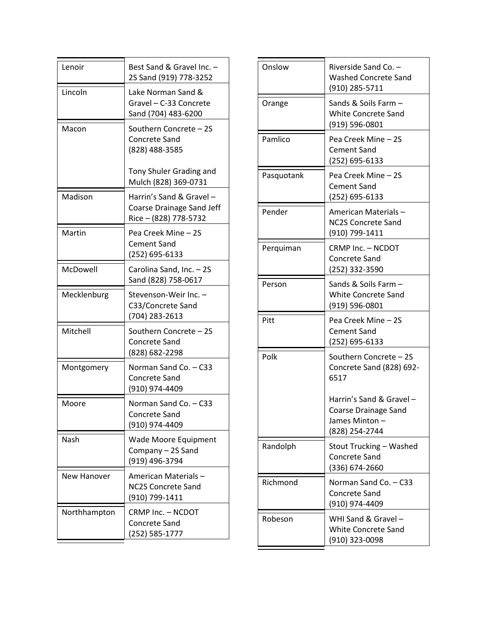| Lenoir       | Best Sand & Gravel Inc. -<br>2S Sand (919) 778-3252                           |
|--------------|-------------------------------------------------------------------------------|
| Lincoln      | Lake Norman Sand &<br>Gravel - C-33 Concrete<br>Sand (704) 483-6200           |
| Macon        | Southern Concrete - 2S<br><b>Concrete Sand</b><br>(828) 488-3585              |
|              | Tony Shuler Grading and<br>Mulch (828) 369-0731                               |
| Madison      | Harrin's Sand & Gravel-<br>Coarse Drainage Sand Jeff<br>Rice – (828) 778-5732 |
| Martin       | Pea Creek Mine - 2S<br><b>Cement Sand</b><br>(252) 695-6133                   |
| McDowell     | Carolina Sand, Inc. - 2S<br>Sand (828) 758-0617                               |
| Mecklenburg  | Stevenson-Weir Inc.<br>C33/Concrete Sand<br>(704) 283-2613                    |
| Mitchell     | Southern Concrete - 2S<br><b>Concrete Sand</b><br>(828) 682-2298              |
| Montgomery   | Norman Sand Co. - C33<br><b>Concrete Sand</b><br>(910) 974-4409               |
| Moore        | Norman Sand Co. - C33<br>Concrete Sand<br>(910) 974-4409                      |
| Nash         | <b>Wade Moore Equipment</b><br>Company - 2S Sand<br>(919) 496-3794            |
| New Hanover  | <b>American Materials -</b><br><b>NC2S Concrete Sand</b><br>(910) 799-1411    |
| Northhampton | CRMP Inc. - NCDOT<br><b>Concrete Sand</b><br>(252) 585-1777                   |

| Onslow     | Riverside Sand Co. -<br><b>Washed Concrete Sand</b><br>(910) 285-5711                      |
|------------|--------------------------------------------------------------------------------------------|
| Orange     | Sands & Soils Farm -<br><b>White Concrete Sand</b><br>(919) 596-0801                       |
| Pamlico    | Pea Creek Mine - 2S<br><b>Cement Sand</b><br>(252) 695-6133                                |
| Pasquotank | Pea Creek Mine - 2S<br><b>Cement Sand</b><br>(252) 695-6133                                |
| Pender     | American Materials –<br><b>NC2S Concrete Sand</b><br>(910) 799-1411                        |
| Perquiman  | CRMP Inc. - NCDOT<br>Concrete Sand<br>(252) 332-3590                                       |
| Person     | Sands & Soils Farm -<br><b>White Concrete Sand</b><br>(919) 596-0801                       |
| Pitt       | Pea Creek Mine - 2S<br><b>Cement Sand</b><br>(252) 695-6133                                |
| Polk       | Southern Concrete - 2S<br>Concrete Sand (828) 692-<br>6517                                 |
|            | Harrin's Sand & Gravel-<br><b>Coarse Drainage Sand</b><br>James Minton –<br>(828) 254-2744 |
| Randolph   | Stout Trucking - Washed<br><b>Concrete Sand</b><br>(336) 674-2660                          |
| Richmond   | Norman Sand Co. - C33<br>Concrete Sand<br>(910) 974-4409                                   |
| Robeson    | WHI Sand & Gravel -<br><b>White Concrete Sand</b><br>(910) 323-0098                        |